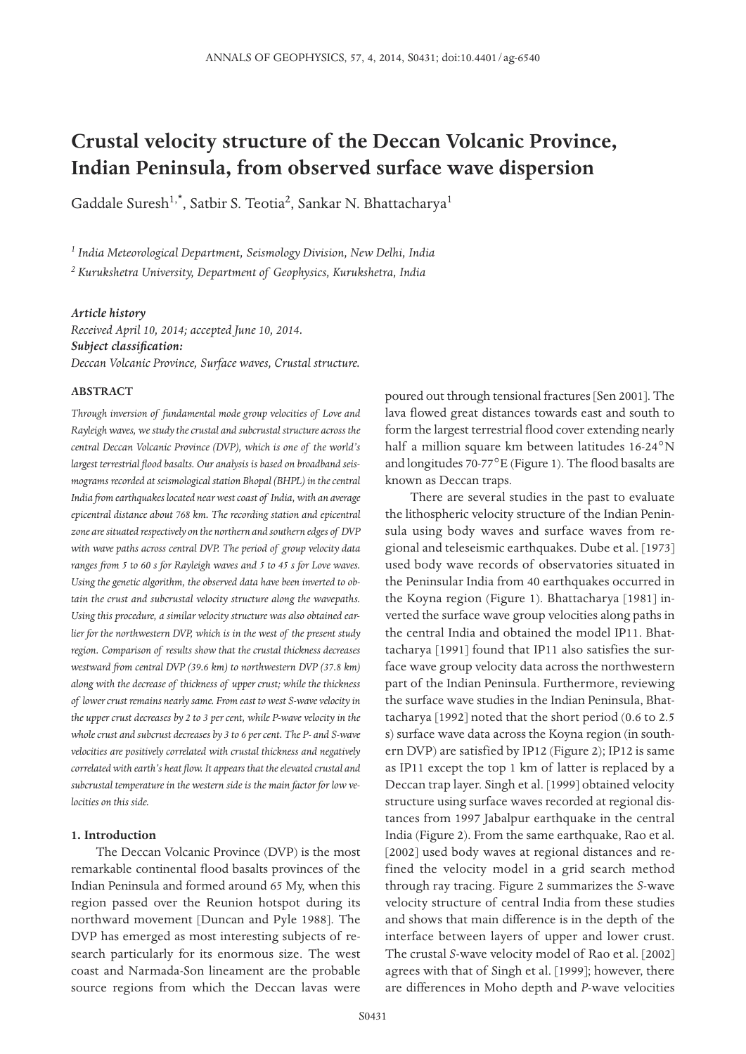# **Crustal velocity structure of the Deccan Volcanic Province, Indian Peninsula, from observed surface wave dispersion**

Gaddale Suresh<sup>1,\*</sup>, Satbir S. Teotia<sup>2</sup>, Sankar N. Bhattacharya<sup>1</sup>

*<sup>1</sup> India Meteorological Department, Seismology Division, New Delhi, India*

*<sup>2</sup> Kurukshetra University, Department of Geophysics, Kurukshetra, India*

### *Article history*

*Received April 10, 2014; accepted June 10, 2014. Subject classification: Deccan Volcanic Province, Surface waves, Crustal structure.*

### **ABSTRACT**

*Through inversion of fundamental mode group velocities of Love and Rayleigh waves, we study the crustal and subcrustal structure across the central Deccan Volcanic Province (DVP), which is one of the world's largest terrestrial flood basalts. Our analysis is based on broadband seismograms recorded at seismological station Bhopal (BHPL) in the central India from earthquakes located near west coast of India, with an average epicentral distance about 768 km. The recording station and epicentral zone are situated respectively on the northern and southern edges of DVP with wave paths across central DVP. The period of group velocity data ranges from 5 to 60 s for Rayleigh waves and 5 to 45 s for Love waves. Using the genetic algorithm, the observed data have been inverted to obtain the crust and subcrustal velocity structure along the wavepaths. Using this procedure, a similar velocity structure was also obtained earlier for the northwestern DVP, which is in the west of the present study region. Comparison of results show that the crustal thickness decreases westward from central DVP (39.6 km) to northwestern DVP (37.8 km) along with the decrease of thickness of upper crust; while the thickness of lower crust remains nearly same. From east to west S-wave velocity in the upper crust decreases by 2 to 3 per cent, while P-wave velocity in the whole crust and subcrust decreases by 3 to 6 per cent. The P- and S-wave velocities are positively correlated with crustal thickness and negatively correlated with earth's heat flow. It appears that the elevated crustal and subcrustal temperature in the western side is the main factor for low velocities on this side.*

## **1. Introduction**

The Deccan Volcanic Province (DVP) is the most remarkable continental flood basalts provinces of the Indian Peninsula and formed around 65 My, when this region passed over the Reunion hotspot during its northward movement [Duncan and Pyle 1988]. The DVP has emerged as most interesting subjects of research particularly for its enormous size. The west coast and Narmada-Son lineament are the probable source regions from which the Deccan lavas were

poured out through tensional fractures [Sen 2001]. The lava flowed great distances towards east and south to form the largest terrestrial flood cover extending nearly half a million square km between latitudes 16-24°N and longitudes 70-77°E (Figure 1). The flood basalts are known as Deccan traps.

There are several studies in the past to evaluate the lithospheric velocity structure of the Indian Peninsula using body waves and surface waves from regional and teleseismic earthquakes. Dube et al. [1973] used body wave records of observatories situated in the Peninsular India from 40 earthquakes occurred in the Koyna region (Figure 1). Bhattacharya [1981] inverted the surface wave group velocities along paths in the central India and obtained the model IP11. Bhattacharya [1991] found that IP11 also satisfies the surface wave group velocity data across the northwestern part of the Indian Peninsula. Furthermore, reviewing the surface wave studies in the Indian Peninsula, Bhattacharya [1992] noted that the short period (0.6 to 2.5 s) surface wave data across the Koyna region (in southern DVP) are satisfied by IP12 (Figure 2); IP12 is same as IP11 except the top 1 km of latter is replaced by a Deccan trap layer. Singh et al. [1999] obtained velocity structure using surface waves recorded at regional distances from 1997 Jabalpur earthquake in the central India (Figure 2). From the same earthquake, Rao et al. [2002] used body waves at regional distances and refined the velocity model in a grid search method through ray tracing. Figure 2 summarizes the *S*-wave velocity structure of central India from these studies and shows that main difference is in the depth of the interface between layers of upper and lower crust. The crustal *S*-wave velocity model of Rao et al. [2002] agrees with that of Singh et al. [1999]; however, there are differences in Moho depth and *P*-wave velocities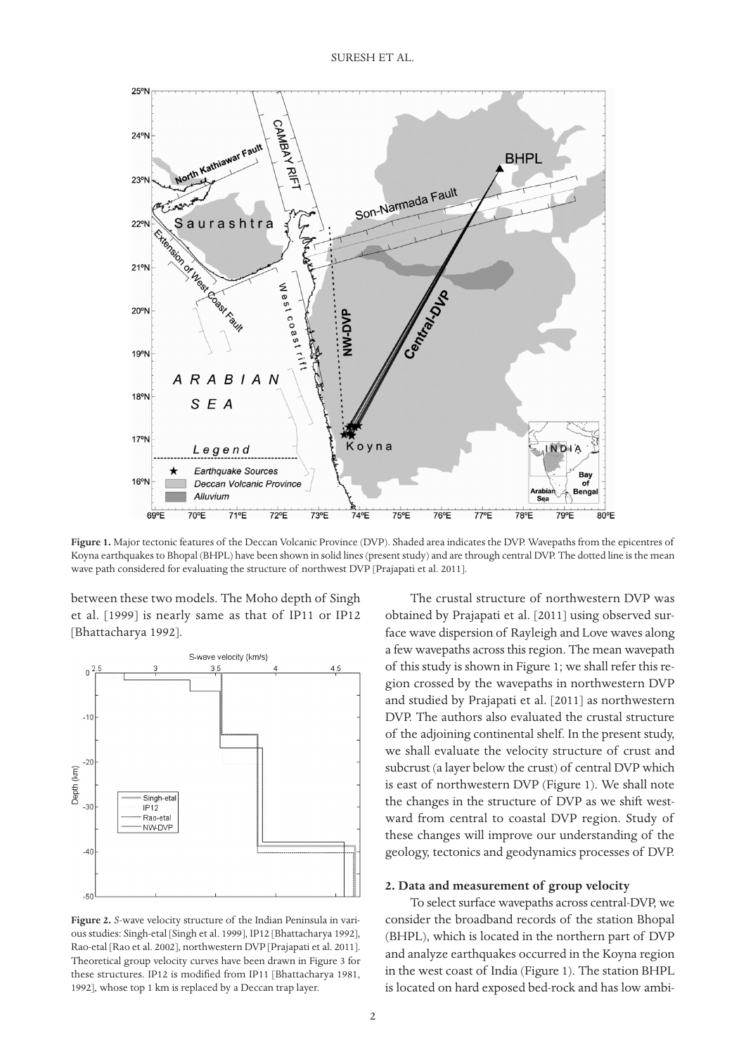

**Figure 1.** Major tectonic features of the Deccan Volcanic Province (DVP). Shaded area indicates the DVP. Wavepaths from the epicentres of Koyna earthquakes to Bhopal (BHPL) have been shown in solid lines (present study) and are through central DVP. The dotted line is the mean wave path considered for evaluating the structure of northwest DVP [Prajapati et al. 2011].

between these two models. The Moho depth of Singh et al. [1999] is nearly same as that of IP11 or IP12 [Bhattacharya 1992].



**Figure 2.** *S*-wave velocity structure of the Indian Peninsula in various studies: Singh-etal [Singh et al. 1999], IP12 [Bhattacharya 1992], Rao-etal [Rao et al. 2002], northwestern DVP [Prajapati et al. 2011]. Theoretical group velocity curves have been drawn in Figure 3 for these structures. IP12 is modified from IP11 [Bhattacharya 1981, 1992], whose top 1 km is replaced by a Deccan trap layer.

The crustal structure of northwestern DVP was obtained by Prajapati et al. [2011] using observed surface wave dispersion of Rayleigh and Love waves along a few wavepaths across this region. The mean wavepath of this study is shown in Figure 1; we shall refer this region crossed by the wavepaths in northwestern DVP and studied by Prajapati et al. [2011] as northwestern DVP. The authors also evaluated the crustal structure of the adjoining continental shelf. In the present study, we shall evaluate the velocity structure of crust and subcrust (a layer below the crust) of central DVP which is east of northwestern DVP (Figure 1). We shall note the changes in the structure of DVP as we shift westward from central to coastal DVP region. Study of these changes will improve our understanding of the geology, tectonics and geodynamics processes of DVP.

## **2. Data and measurement of group velocity**

To select surface wavepaths across central-DVP, we consider the broadband records of the station Bhopal (BHPL), which is located in the northern part of DVP and analyze earthquakes occurred in the Koyna region in the west coast of India (Figure 1). The station BHPL is located on hard exposed bed-rock and has low ambi-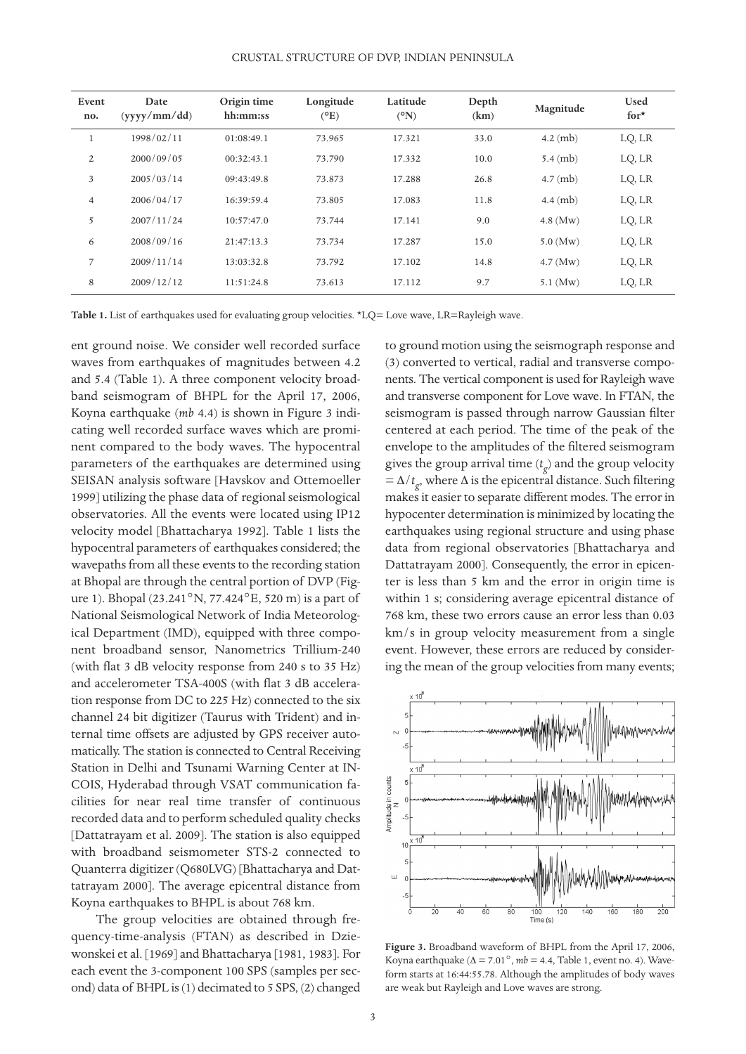CRUSTAL STRUCTURE OF DVP, INDIAN PENINSULA

| Event<br>no.   | Date<br>(vvvy/mm / dd) | Origin time<br>hh:mm:ss | Longitude<br>$(^{\circ}E)$ | Latitude<br>$({}^{\circ}N)$ | Depth<br>(km) | Magnitude          | <b>Used</b><br>for $\star$ |
|----------------|------------------------|-------------------------|----------------------------|-----------------------------|---------------|--------------------|----------------------------|
|                | 1998/02/11             | 01:08:49.1              | 73.965                     | 17.321                      | 33.0          | $4.2 \text{ (mb)}$ | LQ, LR                     |
| $\overline{2}$ | 2000/09/05             | 00:32:43.1              | 73.790                     | 17.332                      | 10.0          | $5.4 \,(mb)$       | LQ, LR                     |
| 3              | 2005/03/14             | 09:43:49.8              | 73.873                     | 17.288                      | 26.8          | $4.7$ (mb)         | LQ, LR                     |
| $\overline{4}$ | 2006/04/17             | 16:39:59.4              | 73.805                     | 17.083                      | 11.8          | $4.4$ (mb)         | LQ, LR                     |
| 5              | 2007/11/24             | 10:57:47.0              | 73.744                     | 17.141                      | 9.0           | $4.8$ (Mw)         | LQ, LR                     |
| 6              | 2008/09/16             | 21:47:13.3              | 73.734                     | 17.287                      | 15.0          | $5.0$ (Mw)         | LQ, LR                     |
| 7              | 2009/11/14             | 13:03:32.8              | 73.792                     | 17.102                      | 14.8          | $4.7 \, (Mw)$      | LQ, LR                     |
| 8              | 2009/12/12             | 11:51:24.8              | 73.613                     | 17.112                      | 9.7           | $5.1$ (Mw)         | LQ, LR                     |

**Table 1.** List of earthquakes used for evaluating group velocities. \*LQ= Love wave, LR=Rayleigh wave.

ent ground noise. We consider well recorded surface waves from earthquakes of magnitudes between 4.2 and 5.4 (Table 1). A three component velocity broadband seismogram of BHPL for the April 17, 2006, Koyna earthquake (*mb* 4.4) is shown in Figure 3 indicating well recorded surface waves which are prominent compared to the body waves. The hypocentral parameters of the earthquakes are determined using SEISAN analysis software [Havskov and Ottemoeller 1999] utilizing the phase data of regional seismological observatories. All the events were located using IP12 velocity model [Bhattacharya 1992]. Table 1 lists the hypocentral parameters of earthquakes considered; the wavepaths from all these events to the recording station at Bhopal are through the central portion of DVP (Figure 1). Bhopal (23.241°N, 77.424°E, 520 m) is a part of National Seismological Network of India Meteorological Department (IMD), equipped with three component broadband sensor, Nanometrics Trillium-240 (with flat 3 dB velocity response from 240 s to 35 Hz) and accelerometer TSA-400S (with flat 3 dB acceleration response from DC to 225 Hz) connected to the six channel 24 bit digitizer (Taurus with Trident) and internal time offsets are adjusted by GPS receiver automatically. The station is connected to Central Receiving Station in Delhi and Tsunami Warning Center at IN-COIS, Hyderabad through VSAT communication facilities for near real time transfer of continuous recorded data and to perform scheduled quality checks [Dattatrayam et al. 2009]. The station is also equipped with broadband seismometer STS-2 connected to Quanterra digitizer (Q680LVG) [Bhattacharya and Dattatrayam 2000]. The average epicentral distance from Koyna earthquakes to BHPL is about 768 km.

The group velocities are obtained through frequency-time-analysis (FTAN) as described in Dziewonskei et al. [1969] and Bhattacharya [1981, 1983]. For each event the 3-component 100 SPS (samples per second) data of BHPL is (1) decimated to 5 SPS, (2) changed

to ground motion using the seismograph response and (3) converted to vertical, radial and transverse components. The vertical component is used for Rayleigh wave and transverse component for Love wave. In FTAN, the seismogram is passed through narrow Gaussian filter centered at each period. The time of the peak of the envelope to the amplitudes of the filtered seismogram gives the group arrival time (*t g* ) and the group velocity  $=$  Δ/ $t_g$ , where Δ is the epicentral distance. Such filtering makes it easier to separate different modes. The error in hypocenter determination is minimized by locating the earthquakes using regional structure and using phase data from regional observatories [Bhattacharya and Dattatrayam 2000]. Consequently, the error in epicenter is less than 5 km and the error in origin time is within 1 s; considering average epicentral distance of 768 km, these two errors cause an error less than 0.03 km/s in group velocity measurement from a single event. However, these errors are reduced by considering the mean of the group velocities from many events;



**Figure 3.** Broadband waveform of BHPL from the April 17, 2006, Koyna earthquake ( $\Delta$  = 7.01°,  $mb$  = 4.4, Table 1, event no. 4). Waveform starts at 16:44:55.78. Although the amplitudes of body waves are weak but Rayleigh and Love waves are strong.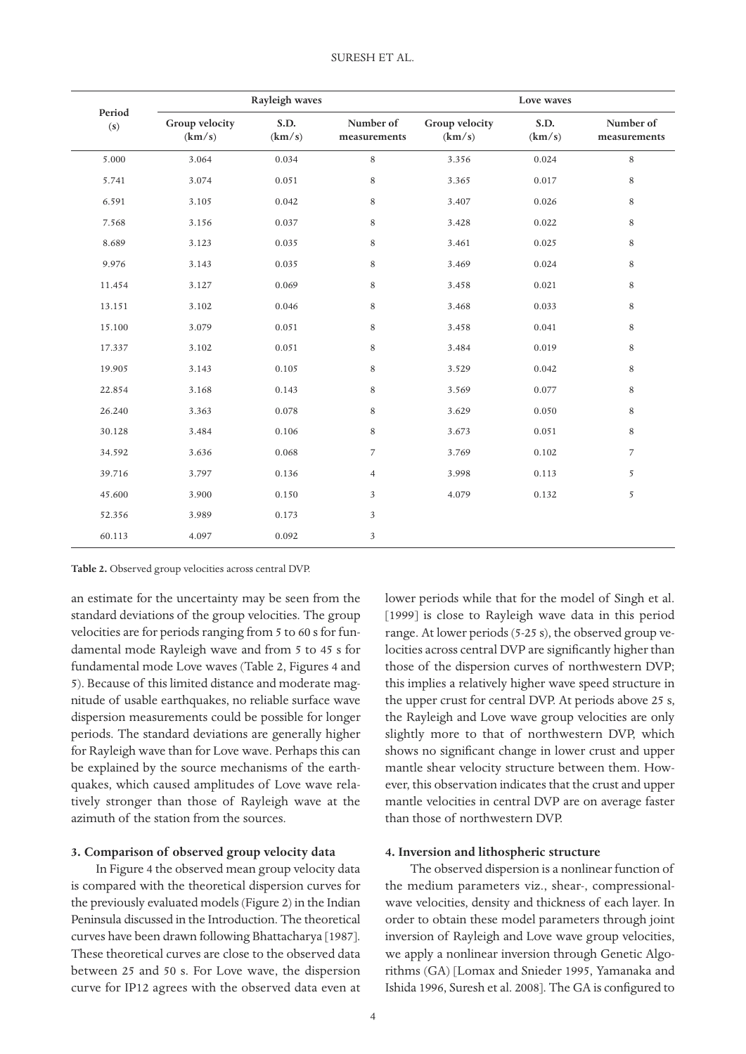|               |                          | Rayleigh waves |                           |                          | Love waves     |                           |
|---------------|--------------------------|----------------|---------------------------|--------------------------|----------------|---------------------------|
| Period<br>(s) | Group velocity<br>(km/s) | S.D.<br>(km/s) | Number of<br>measurements | Group velocity<br>(km/s) | S.D.<br>(km/s) | Number of<br>measurements |
| 5.000         | 3.064                    | 0.034          | $\,8\,$                   | 3.356                    | 0.024          | $\,8\,$                   |
| 5.741         | 3.074                    | 0.051          | 8                         | 3.365                    | 0.017          | $\,$ 8 $\,$               |
| 6.591         | 3.105                    | 0.042          | 8                         | 3.407                    | 0.026          | $\,8\,$                   |
| 7.568         | 3.156                    | 0.037          | $\,$ 8 $\,$               | 3.428                    | 0.022          | $\,8\,$                   |
| 8.689         | 3.123                    | 0.035          | $\,$ 8 $\,$               | 3.461                    | 0.025          | $\,$ 8 $\,$               |
| 9.976         | 3.143                    | 0.035          | 8                         | 3.469                    | 0.024          | $\,$ 8 $\,$               |
| 11.454        | 3.127                    | 0.069          | 8                         | 3.458                    | 0.021          | $\,$ 8 $\,$               |
| 13.151        | 3.102                    | 0.046          | $\,8\,$                   | 3.468                    | 0.033          | $\,8\,$                   |
| 15.100        | 3.079                    | 0.051          | 8                         | 3.458                    | 0.041          | $\,8\,$                   |
| 17.337        | 3.102                    | 0.051          | 8                         | 3.484                    | 0.019          | $\,8\,$                   |
| 19.905        | 3.143                    | 0.105          | $\,$ 8 $\,$               | 3.529                    | 0.042          | $\,8\,$                   |
| 22.854        | 3.168                    | 0.143          | 8                         | 3.569                    | 0.077          | $\,8\,$                   |
| 26.240        | 3.363                    | 0.078          | $\,8\,$                   | 3.629                    | 0.050          | $\,$ 8 $\,$               |
| 30.128        | 3.484                    | 0.106          | $\,$ 8 $\,$               | 3.673                    | 0.051          | $\,$ 8 $\,$               |
| 34.592        | 3.636                    | 0.068          | $\overline{7}$            | 3.769                    | 0.102          | $\overline{7}$            |
| 39.716        | 3.797                    | 0.136          | $\overline{4}$            | 3.998                    | 0.113          | 5                         |
| 45.600        | 3.900                    | 0.150          | $\sqrt{3}$                | 4.079                    | 0.132          | 5                         |
| 52.356        | 3.989                    | 0.173          | $\sqrt{3}$                |                          |                |                           |
| 60.113        | 4.097                    | 0.092          | $\overline{\mathbf{3}}$   |                          |                |                           |

#### **Table 2.** Observed group velocities across central DVP.

an estimate for the uncertainty may be seen from the standard deviations of the group velocities. The group velocities are for periods ranging from 5 to 60 s for fundamental mode Rayleigh wave and from 5 to 45 s for fundamental mode Love waves (Table 2, Figures 4 and 5). Because of this limited distance and moderate magnitude of usable earthquakes, no reliable surface wave dispersion measurements could be possible for longer periods. The standard deviations are generally higher for Rayleigh wave than for Love wave. Perhaps this can be explained by the source mechanisms of the earthquakes, which caused amplitudes of Love wave relatively stronger than those of Rayleigh wave at the azimuth of the station from the sources.

#### **3. Comparison of observed group velocity data**

In Figure 4 the observed mean group velocity data is compared with the theoretical dispersion curves for the previously evaluated models (Figure 2) in the Indian Peninsula discussed in the Introduction. The theoretical curves have been drawn following Bhattacharya [1987]. These theoretical curves are close to the observed data between 25 and 50 s. For Love wave, the dispersion curve for IP12 agrees with the observed data even at

lower periods while that for the model of Singh et al. [1999] is close to Rayleigh wave data in this period range. At lower periods (5-25 s), the observed group velocities across central DVP are significantly higher than those of the dispersion curves of northwestern DVP; this implies a relatively higher wave speed structure in the upper crust for central DVP. At periods above 25 s, the Rayleigh and Love wave group velocities are only slightly more to that of northwestern DVP, which shows no significant change in lower crust and upper mantle shear velocity structure between them. However, this observation indicates that the crust and upper mantle velocities in central DVP are on average faster than those of northwestern DVP.

## **4. Inversion and lithospheric structure**

The observed dispersion is a nonlinear function of the medium parameters viz., shear-, compressionalwave velocities, density and thickness of each layer. In order to obtain these model parameters through joint inversion of Rayleigh and Love wave group velocities, we apply a nonlinear inversion through Genetic Algorithms (GA) [Lomax and Snieder 1995, Yamanaka and Ishida 1996, Suresh et al. 2008]. The GA is configured to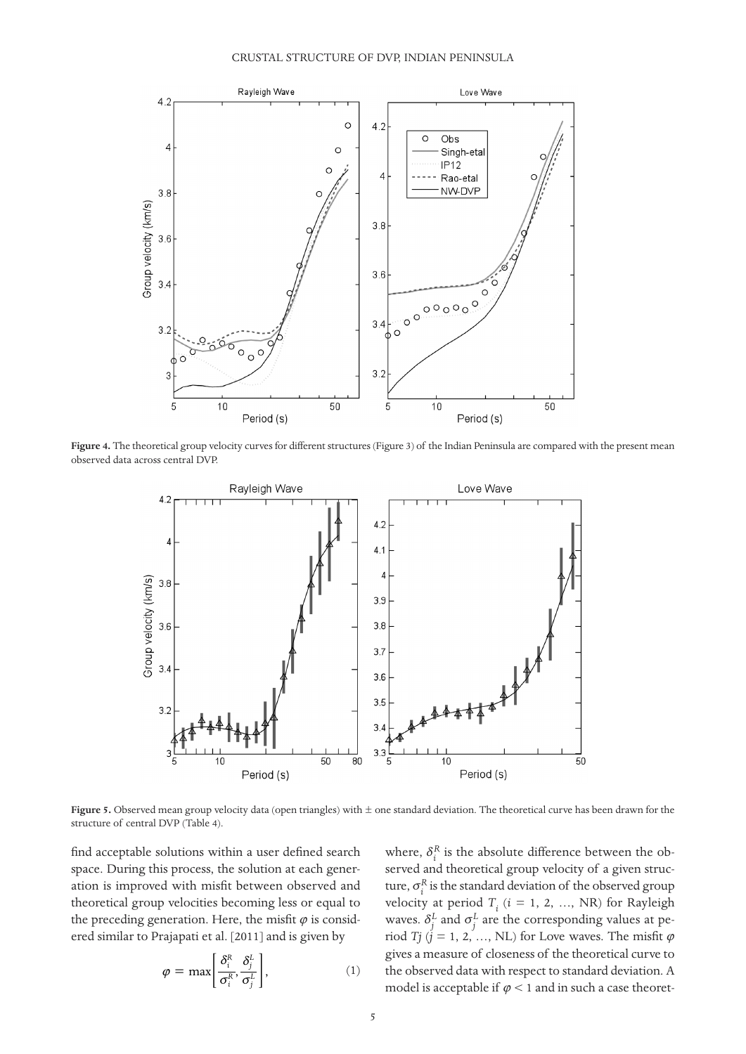

**Figure 4.** The theoretical group velocity curves for different structures (Figure 3) of the Indian Peninsula are compared with the present mean observed data across central DVP.



**Figure 5.** Observed mean group velocity data (open triangles) with ± one standard deviation. The theoretical curve has been drawn for the structure of central DVP (Table 4).

find acceptable solutions within a user defined search space. During this process, the solution at each generation is improved with misfit between observed and theoretical group velocities becoming less or equal to the preceding generation. Here, the misfit  $\varphi$  is considered similar to Prajapati et al. [2011] and is given by

$$
\varphi = \max \left[ \frac{\delta_i^R}{\sigma_i^R}, \frac{\delta_j^L}{\sigma_j^L} \right],\tag{1}
$$

where,  $\delta_i^R$  is the absolute difference between the observed and theoretical group velocity of a given structure,  $\sigma_i^R$  is the standard deviation of the observed group velocity at period  $T_i$  ( $i = 1, 2, ..., NR$ ) for Rayleigh waves.  $\delta_j^L$  and  $\sigma_j^L$  are the corresponding values at period *Tj* ( $\vec{j}$  = 1, 2, ..., NL) for Love waves. The misfit  $\varphi$ gives a measure of closeness of the theoretical curve to the observed data with respect to standard deviation. A model is acceptable if  $\varphi$  < 1 and in such a case theoret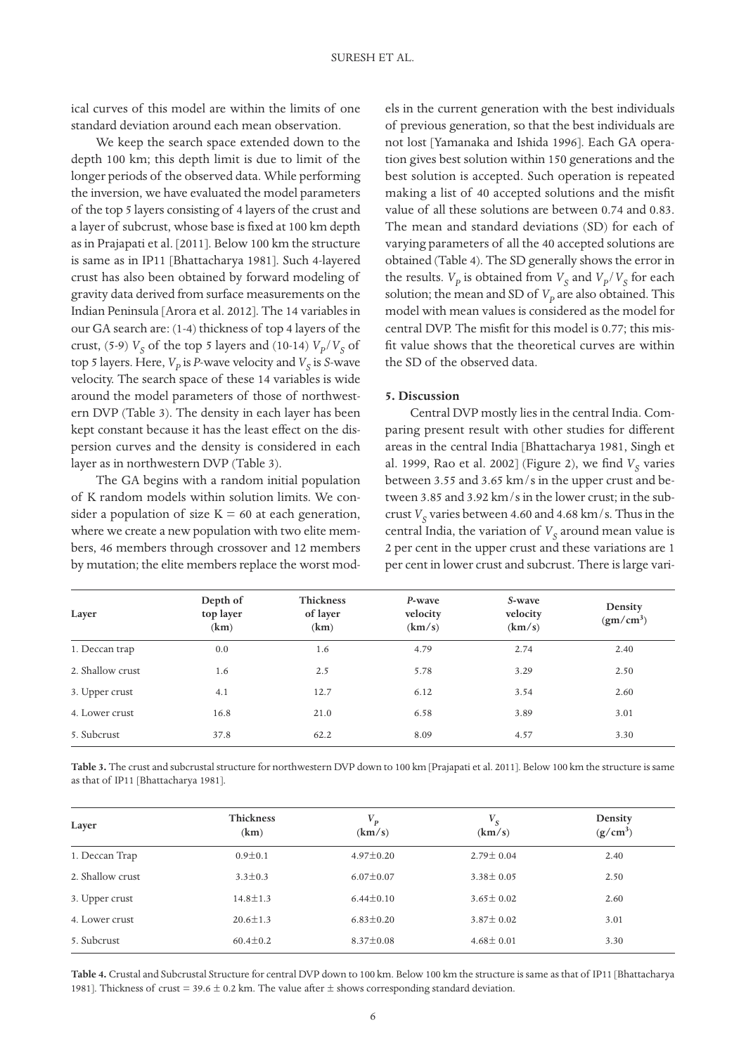ical curves of this model are within the limits of one standard deviation around each mean observation.

We keep the search space extended down to the depth 100 km; this depth limit is due to limit of the longer periods of the observed data. While performing the inversion, we have evaluated the model parameters of the top 5 layers consisting of 4 layers of the crust and a layer of subcrust, whose base is fixed at 100 km depth as in Prajapati et al. [2011]. Below 100 km the structure is same as in IP11 [Bhattacharya 1981]. Such 4-layered crust has also been obtained by forward modeling of gravity data derived from surface measurements on the Indian Peninsula [Arora et al. 2012]. The 14 variables in our GA search are: (1-4) thickness of top 4 layers of the crust, (5-9)  $V_S$  of the top 5 layers and (10-14)  $V_p/V_S$  of top 5 layers. Here,  $V_p$  is *P*-wave velocity and  $V_s$  is *S*-wave velocity. The search space of these 14 variables is wide around the model parameters of those of northwestern DVP (Table 3). The density in each layer has been kept constant because it has the least effect on the dispersion curves and the density is considered in each layer as in northwestern DVP (Table 3).

The GA begins with a random initial population of K random models within solution limits. We consider a population of size  $K = 60$  at each generation, where we create a new population with two elite members, 46 members through crossover and 12 members by mutation; the elite members replace the worst models in the current generation with the best individuals of previous generation, so that the best individuals are not lost [Yamanaka and Ishida 1996]. Each GA operation gives best solution within 150 generations and the best solution is accepted. Such operation is repeated making a list of 40 accepted solutions and the misfit value of all these solutions are between 0.74 and 0.83. The mean and standard deviations (SD) for each of varying parameters of all the 40 accepted solutions are obtained (Table 4). The SD generally shows the error in the results.  $V_p$  is obtained from  $V_s$  and  $V_p/V_s$  for each solution; the mean and SD of  $V_p$  are also obtained. This model with mean values is considered as the model for central DVP. The misfit for this model is 0.77; this misfit value shows that the theoretical curves are within the SD of the observed data.

## **5. Discussion**

Central DVP mostly lies in the central India. Comparing present result with other studies for different areas in the central India [Bhattacharya 1981, Singh et al. 1999, Rao et al. 2002] (Figure 2), we find *V<sub>s</sub>* varies between 3.55 and 3.65 km/s in the upper crust and between 3.85 and 3.92 km/s in the lower crust; in the subcrust  $V_s$  varies between 4.60 and 4.68 km/s. Thus in the central India, the variation of  $V_S$  around mean value is 2 per cent in the upper crust and these variations are 1 per cent in lower crust and subcrust. There is large vari-

| Layer            | Depth of<br>top layer<br>(km) | Thickness<br>of layer<br>(km) | P-wave<br>velocity<br>(km/s) | S-wave<br>velocity<br>(km/s) | Density<br>(gm/cm <sup>3</sup> ) |
|------------------|-------------------------------|-------------------------------|------------------------------|------------------------------|----------------------------------|
| 1. Deccan trap   | 0.0                           | 1.6                           | 4.79                         | 2.74                         | 2.40                             |
| 2. Shallow crust | 1.6                           | 2.5                           | 5.78                         | 3.29                         | 2.50                             |
| 3. Upper crust   | 4.1                           | 12.7                          | 6.12                         | 3.54                         | 2.60                             |
| 4. Lower crust   | 16.8                          | 21.0                          | 6.58                         | 3.89                         | 3.01                             |
| 5. Subcrust      | 37.8                          | 62.2                          | 8.09                         | 4.57                         | 3.30                             |

**Table 3.** The crust and subcrustal structure for northwestern DVP down to 100 km [Prajapati et al. 2011]. Below 100 km the structure is same as that of IP11 [Bhattacharya 1981].

| Layer            | <b>Thickness</b><br>(km) | $\boldsymbol{V_p}$<br>(km/s) | $V_{S}$<br>(km/s) | Density<br>$(g/cm^3)$ |
|------------------|--------------------------|------------------------------|-------------------|-----------------------|
| 1. Deccan Trap   | $0.9 \pm 0.1$            | $4.97 \pm 0.20$              | $2.79 \pm 0.04$   | 2.40                  |
| 2. Shallow crust | $3.3 \pm 0.3$            | $6.07 \pm 0.07$              | $3.38 \pm 0.05$   | 2.50                  |
| 3. Upper crust   | $14.8 \pm 1.3$           | $6.44 \pm 0.10$              | $3.65 \pm 0.02$   | 2.60                  |
| 4. Lower crust   | $20.6 \pm 1.3$           | $6.83 \pm 0.20$              | $3.87 \pm 0.02$   | 3.01                  |
| 5. Subcrust      | $60.4 \pm 0.2$           | $8.37 \pm 0.08$              | $4.68 \pm 0.01$   | 3.30                  |

**Table 4.** Crustal and Subcrustal Structure for central DVP down to 100 km. Below 100 km the structure is same as that of IP11 [Bhattacharya 1981]. Thickness of crust = 39.6  $\pm$  0.2 km. The value after  $\pm$  shows corresponding standard deviation.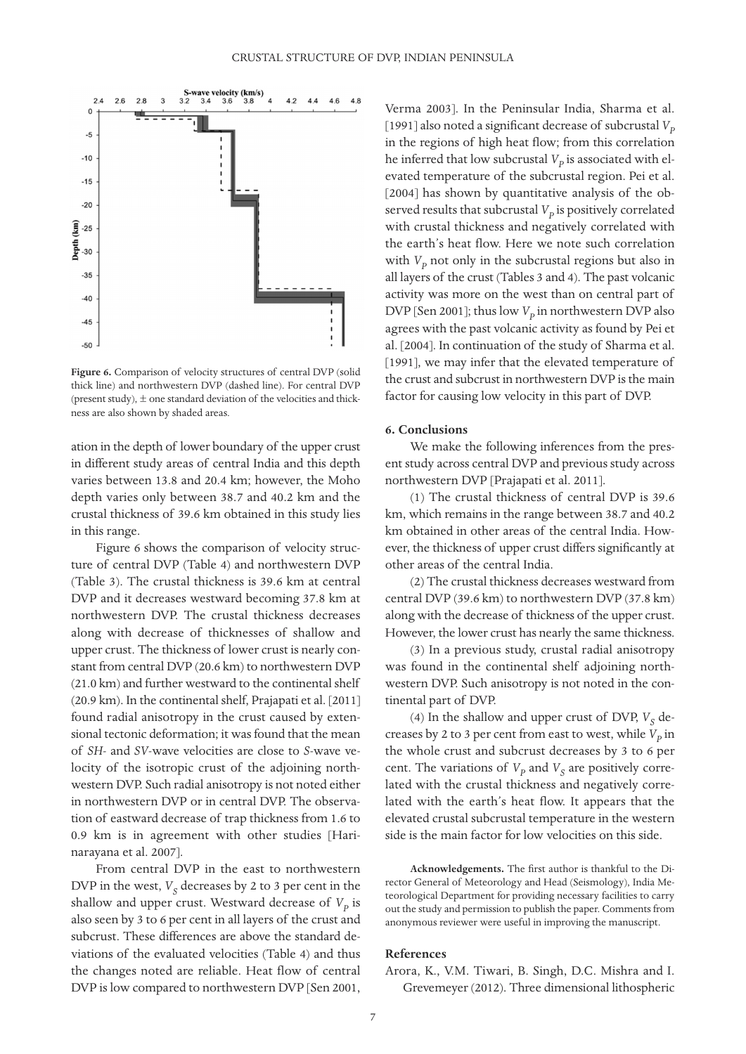

**Figure 6.** Comparison of velocity structures of central DVP (solid thick line) and northwestern DVP (dashed line). For central DVP (present study),  $\pm$  one standard deviation of the velocities and thickness are also shown by shaded areas.

ation in the depth of lower boundary of the upper crust in different study areas of central India and this depth varies between 13.8 and 20.4 km; however, the Moho depth varies only between 38.7 and 40.2 km and the crustal thickness of 39.6 km obtained in this study lies in this range.

Figure 6 shows the comparison of velocity structure of central DVP (Table 4) and northwestern DVP (Table 3). The crustal thickness is 39.6 km at central DVP and it decreases westward becoming 37.8 km at northwestern DVP. The crustal thickness decreases along with decrease of thicknesses of shallow and upper crust. The thickness of lower crust is nearly constant from central DVP (20.6 km) to northwestern DVP (21.0 km) and further westward to the continental shelf (20.9 km). In the continental shelf, Prajapati et al. [2011] found radial anisotropy in the crust caused by extensional tectonic deformation; it was found that the mean of *SH*- and *SV*-wave velocities are close to *S*-wave velocity of the isotropic crust of the adjoining northwestern DVP. Such radial anisotropy is not noted either in northwestern DVP or in central DVP. The observation of eastward decrease of trap thickness from 1.6 to 0.9 km is in agreement with other studies [Harinarayana et al. 2007].

From central DVP in the east to northwestern DVP in the west,  $V<sub>S</sub>$  decreases by 2 to 3 per cent in the shallow and upper crust. Westward decrease of  $V_p$  is also seen by 3 to 6 per cent in all layers of the crust and subcrust. These differences are above the standard deviations of the evaluated velocities (Table 4) and thus the changes noted are reliable. Heat flow of central DVP is low compared to northwestern DVP [Sen 2001,

Verma 2003]. In the Peninsular India, Sharma et al. [1991] also noted a significant decrease of subcrustal  $V_p$ in the regions of high heat flow; from this correlation he inferred that low subcrustal  $V_p$  is associated with elevated temperature of the subcrustal region. Pei et al. [2004] has shown by quantitative analysis of the observed results that subcrustal  $V_p$  is positively correlated with crustal thickness and negatively correlated with the earth's heat flow. Here we note such correlation with  $V_p$  not only in the subcrustal regions but also in all layers of the crust (Tables 3 and 4). The past volcanic activity was more on the west than on central part of DVP [Sen 2001]; thus low  $V_p$  in northwestern DVP also agrees with the past volcanic activity as found by Pei et al. [2004]. In continuation of the study of Sharma et al. [1991], we may infer that the elevated temperature of the crust and subcrust in northwestern DVP is the main factor for causing low velocity in this part of DVP.

#### **6. Conclusions**

We make the following inferences from the present study across central DVP and previous study across northwestern DVP [Prajapati et al. 2011].

(1) The crustal thickness of central DVP is 39.6 km, which remains in the range between 38.7 and 40.2 km obtained in other areas of the central India. However, the thickness of upper crust differs significantly at other areas of the central India.

(2) The crustal thickness decreases westward from central DVP (39.6 km) to northwestern DVP (37.8 km) along with the decrease of thickness of the upper crust. However, the lower crust has nearly the same thickness.

(3) In a previous study, crustal radial anisotropy was found in the continental shelf adjoining northwestern DVP. Such anisotropy is not noted in the continental part of DVP.

(4) In the shallow and upper crust of DVP,  $V_S$  decreases by 2 to 3 per cent from east to west, while  $V_p$  in the whole crust and subcrust decreases by 3 to 6 per cent. The variations of  $V_p$  and  $V_s$  are positively correlated with the crustal thickness and negatively correlated with the earth's heat flow. It appears that the elevated crustal subcrustal temperature in the western side is the main factor for low velocities on this side.

**Acknowledgements.** The first author is thankful to the Director General of Meteorology and Head (Seismology), India Meteorological Department for providing necessary facilities to carry out the study and permission to publish the paper. Comments from anonymous reviewer were useful in improving the manuscript.

## **References**

Arora, K., V.M. Tiwari, B. Singh, D.C. Mishra and I. Grevemeyer (2012). Three dimensional lithospheric